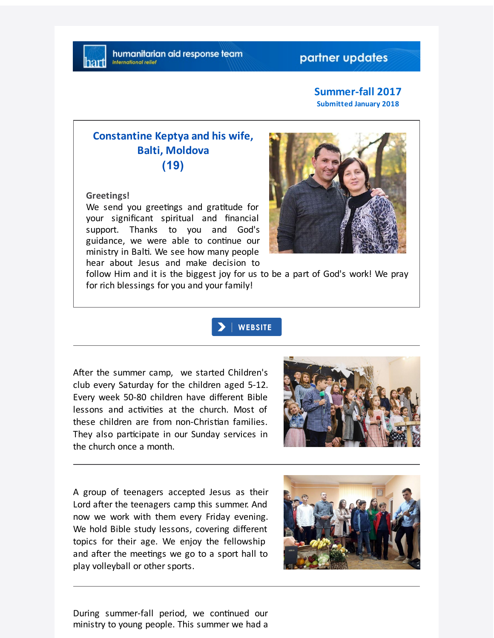## partner updates

#### **Summer-fall 2017 Submitted January 2018**

## **Constantine Keptya and his wife, Balti, Moldova (19)**

**Greetings!**

We send you greetings and gratitude for your significant spiritual and financial support. Thanks to you and God's guidance, we were able to continue our ministry in Balti. We see how many people hear about Jesus and make decision to



follow Him and it is the biggest joy for us to be a part of God's work! We pray for rich blessings for you and your family!



After the summer camp, we started Children's club every Saturday for the children aged 5-12. Every week 50-80 children have different Bible lessons and activities at the church. Most of these children are from non-Christian families. They also participate in our Sunday services in the church once a month.



A group of teenagers accepted Jesus as their Lord after the teenagers camp this summer. And now we work with them every Friday evening. We hold Bible study lessons, covering different topics for their age. We enjoy the fellowship and after the meetings we go to a sport hall to play volleyball or other sports.



During summer-fall period, we continued our ministry to young people. This summer we had a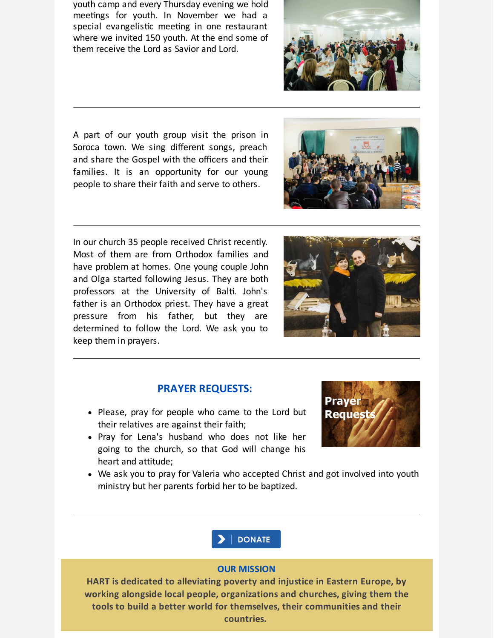youth camp and every Thursday evening we hold meetings for youth. In November we had a special evangelistic meeting in one restaurant where we invited 150 youth. At the end some of them receive the Lord as Savior and Lord.

A part of our youth group visit the prison in Soroca town. We sing different songs, preach and share the Gospel with the officers and their families. It is an opportunity for our young people to share their faith and serve to others.

In our church 35 people received Christ recently. Most of them are from Orthodox families and have problem at homes. One young couple John and Olga started following Jesus. They are both professors at the University of Balti. John's father is an Orthodox priest. They have a great pressure from his father, but they are determined to follow the Lord. We ask you to keep them in prayers.

## **PRAYER REQUESTS:**

- Please, pray for people who came to the Lord but their relatives are against their faith;
- Pray for Lena's husband who does not like her going to the church, so that God will change his heart and attitude;
- We ask you to pray for Valeria who accepted Christ and got involved into youth ministry but her parents forbid her to be baptized.

**HART is dedicated to alleviating poverty and injustice in Eastern Europe, by working alongside local people, organizations and churches, giving them the tools to build a better world for themselves, their communities and their countries.**









# **DONATE**

#### **OUR MISSION**